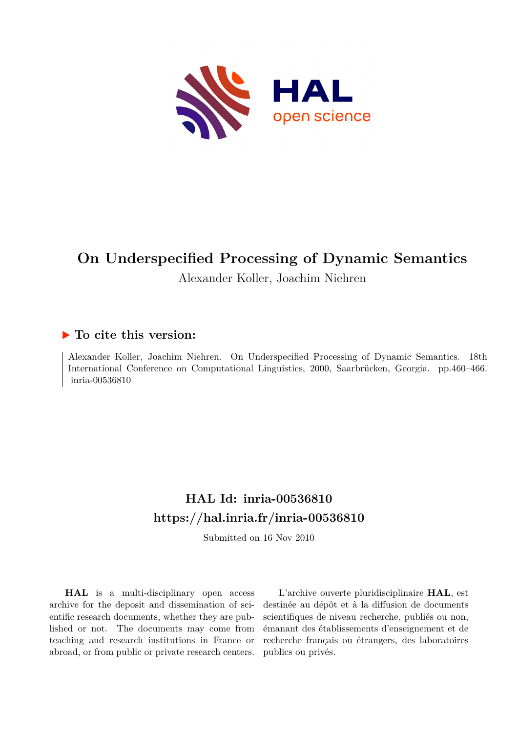

# **On Underspecified Processing of Dynamic Semantics**

Alexander Koller, Joachim Niehren

### **To cite this version:**

Alexander Koller, Joachim Niehren. On Underspecified Processing of Dynamic Semantics. 18th International Conference on Computational Linguistics, 2000, Saarbrücken, Georgia. pp.460–466. inria-00536810

## **HAL Id: inria-00536810 <https://hal.inria.fr/inria-00536810>**

Submitted on 16 Nov 2010

**HAL** is a multi-disciplinary open access archive for the deposit and dissemination of scientific research documents, whether they are published or not. The documents may come from teaching and research institutions in France or abroad, or from public or private research centers.

L'archive ouverte pluridisciplinaire **HAL**, est destinée au dépôt et à la diffusion de documents scientifiques de niveau recherche, publiés ou non, émanant des établissements d'enseignement et de recherche français ou étrangers, des laboratoires publics ou privés.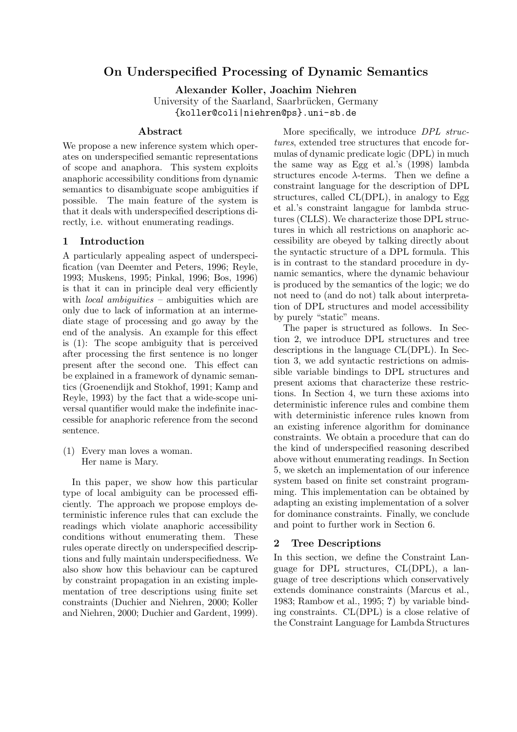### On Underspecified Processing of Dynamic Semantics

Alexander Koller, Joachim Niehren

University of the Saarland, Saarbrücken, Germany {koller@coli|niehren@ps}.uni-sb.de

#### Abstract

We propose a new inference system which operates on underspecified semantic representations of scope and anaphora. This system exploits anaphoric accessibility conditions from dynamic semantics to disambiguate scope ambiguities if possible. The main feature of the system is that it deals with underspecified descriptions directly, i.e. without enumerating readings.

#### 1 Introduction

A particularly appealing aspect of underspecification (van Deemter and Peters, 1996; Reyle, 1993; Muskens, 1995; Pinkal, 1996; Bos, 1996) is that it can in principle deal very efficiently with *local ambiguities* – ambiguities which are only due to lack of information at an intermediate stage of processing and go away by the end of the analysis. An example for this effect is (1): The scope ambiguity that is perceived after processing the first sentence is no longer present after the second one. This effect can be explained in a framework of dynamic semantics (Groenendijk and Stokhof, 1991; Kamp and Reyle, 1993) by the fact that a wide-scope universal quantifier would make the indefinite inaccessible for anaphoric reference from the second sentence.

(1) Every man loves a woman. Her name is Mary.

In this paper, we show how this particular type of local ambiguity can be processed efficiently. The approach we propose employs deterministic inference rules that can exclude the readings which violate anaphoric accessibility conditions without enumerating them. These rules operate directly on underspecified descriptions and fully maintain underspecifiedness. We also show how this behaviour can be captured by constraint propagation in an existing implementation of tree descriptions using finite set constraints (Duchier and Niehren, 2000; Koller and Niehren, 2000; Duchier and Gardent, 1999).

More specifically, we introduce DPL structures, extended tree structures that encode formulas of dynamic predicate logic (DPL) in much the same way as Egg et al.'s (1998) lambda structures encode  $\lambda$ -terms. Then we define a constraint language for the description of DPL structures, called CL(DPL), in analogy to Egg et al.'s constraint langague for lambda structures (CLLS). We characterize those DPL structures in which all restrictions on anaphoric accessibility are obeyed by talking directly about the syntactic structure of a DPL formula. This is in contrast to the standard procedure in dynamic semantics, where the dynamic behaviour is produced by the semantics of the logic; we do not need to (and do not) talk about interpretation of DPL structures and model accessibility by purely "static" means.

The paper is structured as follows. In Section 2, we introduce DPL structures and tree descriptions in the language CL(DPL). In Section 3, we add syntactic restrictions on admissible variable bindings to DPL structures and present axioms that characterize these restrictions. In Section 4, we turn these axioms into deterministic inference rules and combine them with deterministic inference rules known from an existing inference algorithm for dominance constraints. We obtain a procedure that can do the kind of underspecified reasoning described above without enumerating readings. In Section 5, we sketch an implementation of our inference system based on finite set constraint programming. This implementation can be obtained by adapting an existing implementation of a solver for dominance constraints. Finally, we conclude and point to further work in Section 6.

#### 2 Tree Descriptions

In this section, we define the Constraint Language for DPL structures, CL(DPL), a language of tree descriptions which conservatively extends dominance constraints (Marcus et al., 1983; Rambow et al., 1995; ?) by variable binding constraints. CL(DPL) is a close relative of the Constraint Language for Lambda Structures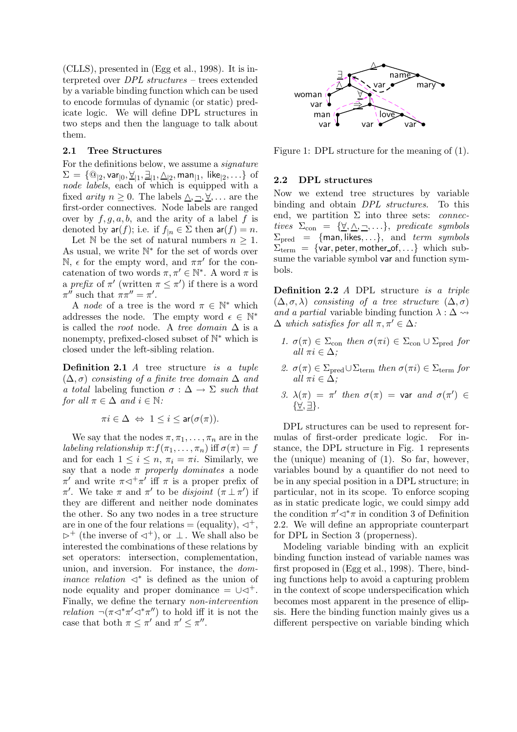(CLLS), presented in (Egg et al., 1998). It is interpreted over DPL structures – trees extended by a variable binding function which can be used to encode formulas of dynamic (or static) predicate logic. We will define DPL structures in two steps and then the language to talk about them.

#### 2.1 Tree Structures

For the definitions below, we assume a signature  $\Sigma\,=\, \{\textcircled{a}_{|2}, \textsf{var}_{|0}, \underline{\forall}_{|1}, \underline{\exists}_{|1}, \underline{\wedge}_{|2}, \textsf{man}_{|1}, \textsf{ like}_{|2}, \ldots\} \,$  of node labels, each of which is equipped with a fixed *arity*  $n > 0$ . The labels  $\wedge, \neg, \forall, \dots$  are the first-order connectives. Node labels are ranged over by  $f, g, a, b$ , and the arity of a label f is denoted by  $ar(f)$ ; i.e. if  $f_{|n} \in \Sigma$  then  $ar(f) = n$ .

Let N be the set of natural numbers  $n \geq 1$ . As usual, we write  $\mathbb{N}^*$  for the set of words over  $\mathbb{N}, \epsilon$  for the empty word, and  $\pi \pi'$  for the concatenation of two words  $\pi, \pi' \in \mathbb{N}^*$ . A word  $\pi$  is a prefix of  $\pi'$  (written  $\pi \leq \pi'$ ) if there is a word  $\pi''$  such that  $\pi\pi'' = \pi'$ .

A *node* of a tree is the word  $\pi \in \mathbb{N}^*$  which addresses the node. The empty word  $\epsilon \in \mathbb{N}^*$ is called the *root* node. A tree domain  $\Delta$  is a nonempty, prefixed-closed subset of  $\mathbb{N}^*$  which is closed under the left-sibling relation.

Definition 2.1 A tree structure is a tuple  $(\Delta, \sigma)$  consisting of a finite tree domain  $\Delta$  and a total labeling function  $\sigma : \Delta \to \Sigma$  such that for all  $\pi \in \Delta$  and  $i \in \mathbb{N}$ :

$$
\pi i \in \Delta \Leftrightarrow 1 \leq i \leq \operatorname{ar}(\sigma(\pi)).
$$

We say that the nodes  $\pi, \pi_1, \ldots, \pi_n$  are in the labeling relationship  $\pi: f(\pi_1, \ldots, \pi_n)$  iff  $\sigma(\pi) = f$ and for each  $1 \leq i \leq n$ ,  $\pi_i = \pi i$ . Similarly, we say that a node  $\pi$  properly dominates a node  $\pi'$  and write  $\pi \lhd^+\pi'$  iff  $\pi$  is a proper prefix of π'. We take  $\pi$  and  $\pi'$  to be *disjoint*  $(\pi \perp \pi')$  if they are different and neither node dominates the other. So any two nodes in a tree structure are in one of the four relations  $=$  (equality),  $\triangleleft^+$ ,  $\triangleright^+$  (the inverse of  $\triangleleft^+$ ), or  $\perp$ . We shall also be interested the combinations of these relations by set operators: intersection, complementation, union, and inversion. For instance, the dominance relation  $\lhd^*$  is defined as the union of node equality and proper dominance  $= \cup \triangleleft^+$ . Finally, we define the ternary non-intervention relation  $\neg(\pi\triangleleft^*\pi'\triangleleft^*\pi'')$  to hold iff it is not the case that both  $\pi \leq \pi'$  and  $\pi' \leq \pi''$ .



Figure 1: DPL structure for the meaning of (1).

#### 2.2 DPL structures

Now we extend tree structures by variable binding and obtain DPL structures. To this end, we partition  $\Sigma$  into three sets: *connec*tives  $\Sigma_{\text{con}} = {\{\forall, \triangle, \neg, ...\}}$ , predicate symbols  $\Sigma_{\text{pred}}$  = {man, likes, ...}, and term symbols  $\Sigma_{\text{term}} = \{ \text{var}, \text{peter}, \text{mother_of}, \ldots \}$  which subsume the variable symbol var and function symbols.

Definition 2.2 A DPL structure is a triple  $(\Delta, \sigma, \lambda)$  consisting of a tree structure  $(\Delta, \sigma)$ and a partial variable binding function  $\lambda : \Delta \rightarrow$  $\Delta$  which satisfies for all  $\pi, \pi' \in \Delta$ :

- 1.  $\sigma(\pi) \in \Sigma_{con}$  then  $\sigma(\pi i) \in \Sigma_{con} \cup \Sigma_{pred}$  for all  $\pi i \in \Delta$ :
- 2.  $\sigma(\pi) \in \Sigma_{\text{pred}} \cup \Sigma_{\text{term}}$  then  $\sigma(\pi i) \in \Sigma_{\text{term}}$  for all  $\pi i \in \Delta$ :
- 3.  $\lambda(\pi) = \pi'$  then  $\sigma(\pi) = \text{var and } \sigma(\pi') \in$  $\{\underline{\forall}, \underline{\exists}\}.$

DPL structures can be used to represent formulas of first-order predicate logic. For instance, the DPL structure in Fig. 1 represents the (unique) meaning of (1). So far, however, variables bound by a quantifier do not need to be in any special position in a DPL structure; in particular, not in its scope. To enforce scoping as in static predicate logic, we could simpy add the condition  $\pi' \lhd^* \pi$  in condition 3 of Definition 2.2. We will define an appropriate counterpart for DPL in Section 3 (properness).

Modeling variable binding with an explicit binding function instead of variable names was first proposed in (Egg et al., 1998). There, binding functions help to avoid a capturing problem in the context of scope underspecification which becomes most apparent in the presence of ellipsis. Here the binding function mainly gives us a different perspective on variable binding which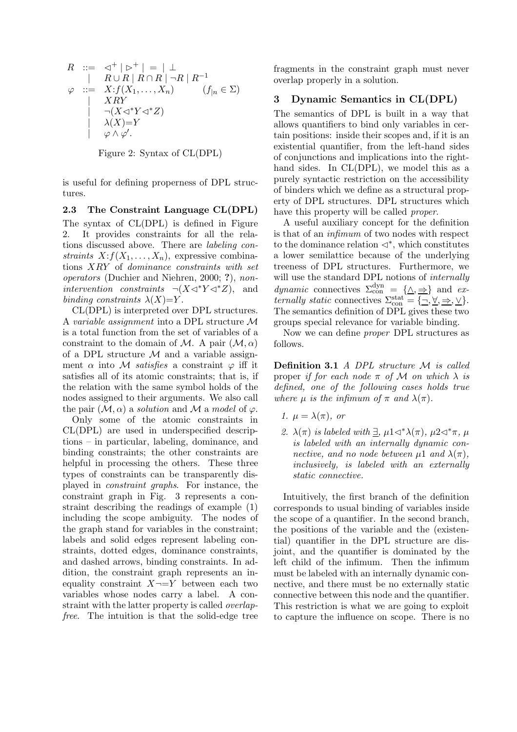$$
R ::= \langle \exists^{+} | \triangleright^{+} | = | \bot
$$
  
\n
$$
\varphi ::= X : f(X_{1},...,X_{n}) \qquad (f_{|n} \in \Sigma)
$$
  
\n
$$
\neg(X \triangleleft^{*} Y \triangleleft^{*} Z)
$$
  
\n
$$
\neg(X \triangleleft^{*} Y \triangleleft^{*} Z)
$$
  
\n
$$
\varphi \wedge \varphi'.
$$

Figure 2: Syntax of CL(DPL)

is useful for defining properness of DPL structures.

#### 2.3 The Constraint Language CL(DPL)

The syntax of CL(DPL) is defined in Figure 2. It provides constraints for all the relations discussed above. There are labeling constraints  $X: f(X_1, \ldots, X_n)$ , expressive combinations XRY of dominance constraints with set operators (Duchier and Niehren, 2000; ?), nonintervention constraints  $\neg(X \triangleleft^* Y \triangleleft^* Z)$ , and binding constraints  $\lambda(X)=Y$ .

CL(DPL) is interpreted over DPL structures. A variable assignment into a DPL structure M is a total function from the set of variables of a constraint to the domain of M. A pair  $(M, \alpha)$ of a DPL structure  $M$  and a variable assignment  $\alpha$  into M *satisfies* a constraint  $\varphi$  iff it satisfies all of its atomic constraints; that is, if the relation with the same symbol holds of the nodes assigned to their arguments. We also call the pair  $(M, \alpha)$  a solution and M a model of  $\varphi$ .

Only some of the atomic constraints in CL(DPL) are used in underspecified descriptions – in particular, labeling, dominance, and binding constraints; the other constraints are helpful in processing the others. These three types of constraints can be transparently displayed in constraint graphs. For instance, the constraint graph in Fig. 3 represents a constraint describing the readings of example (1) including the scope ambiguity. The nodes of the graph stand for variables in the constraint; labels and solid edges represent labeling constraints, dotted edges, dominance constraints, and dashed arrows, binding constraints. In addition, the constraint graph represents an inequality constraint  $X\neg Y$  between each two variables whose nodes carry a label. A constraint with the latter property is called overlapfree. The intuition is that the solid-edge tree

fragments in the constraint graph must never overlap properly in a solution.

#### 3 Dynamic Semantics in CL(DPL)

The semantics of DPL is built in a way that allows quantifiers to bind only variables in certain positions: inside their scopes and, if it is an existential quantifier, from the left-hand sides of conjunctions and implications into the righthand sides. In CL(DPL), we model this as a purely syntactic restriction on the accessibility of binders which we define as a structural property of DPL structures. DPL structures which have this property will be called *proper*.

A useful auxiliary concept for the definition is that of an infimum of two nodes with respect to the dominance relation  $\lhd^*$ , which constitutes a lower semilattice because of the underlying treeness of DPL structures. Furthermore, we will use the standard DPL notions of *internally* dynamic connectives  $\Sigma_{\text{con}}^{\text{dyn}} = {\Delta, \Rightarrow}$  and externally static connectives  $\Sigma_{\text{con}}^{\text{stat}} = {\overline{\{ \neg, \forall, \Rightarrow, \vee \}}}$ . The semantics definition of DPL gives these two groups special relevance for variable binding.

Now we can define proper DPL structures as follows.

Definition 3.1 A DPL structure M is called proper if for each node  $\pi$  of M on which  $\lambda$  is defined, one of the following cases holds true where  $\mu$  is the infimum of  $\pi$  and  $\lambda(\pi)$ .

- 1.  $\mu = \lambda(\pi)$ , or
- 2.  $\lambda(\pi)$  is labeled with  $\exists$ ,  $\mu$ 1 $\lhd^*\lambda(\pi)$ ,  $\mu$ 2 $\lhd^*\pi$ ,  $\mu$ is labeled with an internally dynamic connective, and no node between  $\mu$ 1 and  $\lambda(\pi)$ . inclusively, is labeled with an externally static connective.

Intuitively, the first branch of the definition corresponds to usual binding of variables inside the scope of a quantifier. In the second branch, the positions of the variable and the (existential) quantifier in the DPL structure are disjoint, and the quantifier is dominated by the left child of the infimum. Then the infimum must be labeled with an internally dynamic connective, and there must be no externally static connective between this node and the quantifier. This restriction is what we are going to exploit to capture the influence on scope. There is no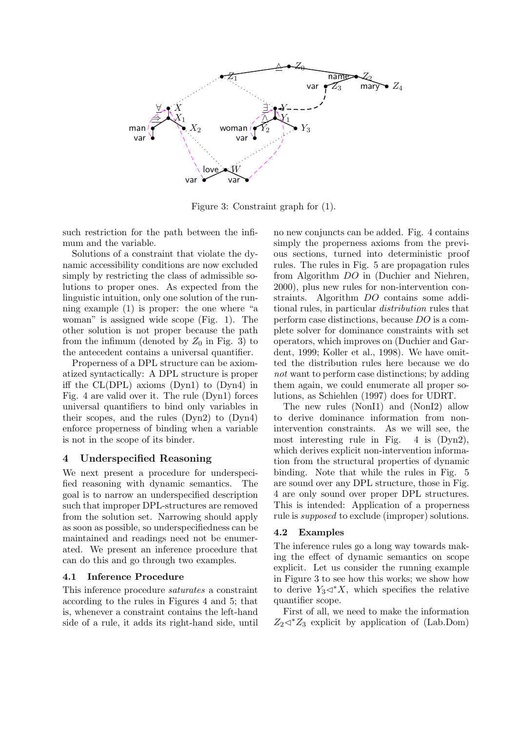

Figure 3: Constraint graph for (1).

such restriction for the path between the infimum and the variable.

Solutions of a constraint that violate the dynamic accessibility conditions are now excluded simply by restricting the class of admissible solutions to proper ones. As expected from the linguistic intuition, only one solution of the running example (1) is proper: the one where "a woman" is assigned wide scope (Fig. 1). The other solution is not proper because the path from the infimum (denoted by  $Z_0$  in Fig. 3) to the antecedent contains a universal quantifier.

Properness of a DPL structure can be axiomatized syntactically: A DPL structure is proper iff the CL(DPL) axioms (Dyn1) to (Dyn4) in Fig. 4 are valid over it. The rule (Dyn1) forces universal quantifiers to bind only variables in their scopes, and the rules (Dyn2) to (Dyn4) enforce properness of binding when a variable is not in the scope of its binder.

#### 4 Underspecified Reasoning

We next present a procedure for underspecified reasoning with dynamic semantics. The goal is to narrow an underspecified description such that improper DPL-structures are removed from the solution set. Narrowing should apply as soon as possible, so underspecifiedness can be maintained and readings need not be enumerated. We present an inference procedure that can do this and go through two examples.

#### 4.1 Inference Procedure

This inference procedure saturates a constraint according to the rules in Figures 4 and 5; that is, whenever a constraint contains the left-hand side of a rule, it adds its right-hand side, until no new conjuncts can be added. Fig. 4 contains simply the properness axioms from the previous sections, turned into deterministic proof rules. The rules in Fig. 5 are propagation rules from Algorithm DO in (Duchier and Niehren, 2000), plus new rules for non-intervention constraints. Algorithm DO contains some additional rules, in particular distribution rules that perform case distinctions, because DO is a complete solver for dominance constraints with set operators, which improves on (Duchier and Gardent, 1999; Koller et al., 1998). We have omitted the distribution rules here because we do not want to perform case distinctions; by adding them again, we could enumerate all proper solutions, as Schiehlen (1997) does for UDRT.

The new rules (NonI1) and (NonI2) allow to derive dominance information from nonintervention constraints. As we will see, the most interesting rule in Fig. 4 is (Dyn2), which derives explicit non-intervention information from the structural properties of dynamic binding. Note that while the rules in Fig. 5 are sound over any DPL structure, those in Fig. 4 are only sound over proper DPL structures. This is intended: Application of a properness rule is supposed to exclude (improper) solutions.

#### 4.2 Examples

The inference rules go a long way towards making the effect of dynamic semantics on scope explicit. Let us consider the running example in Figure 3 to see how this works; we show how to derive  $Y_3 \triangleleft^* X$ , which specifies the relative quantifier scope.

First of all, we need to make the information  $Z_2 \triangleleft^* Z_3$  explicit by application of (Lab.Dom)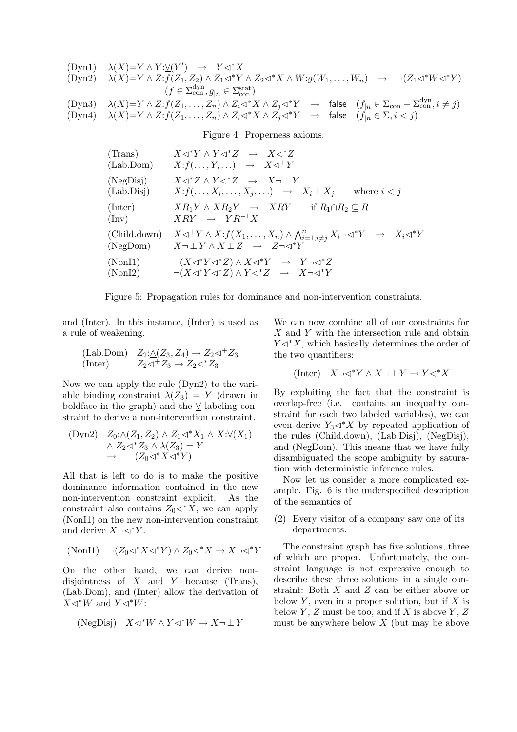$$
\begin{array}{llllll} \text{(Dyn1)} & \lambda(X)=Y\wedge Y:\underline{\forall}(Y') \rightarrow Y\lhd^*X \\ \text{(Dyn2)} & \lambda(X)=Y\wedge Z: f(Z_1,Z_2)\wedge Z_1\lhd^*Y\wedge Z_2\lhd^*X\wedge W: g(W_1,\ldots,W_n) \rightarrow \neg(Z_1\lhd^*W\lhd^*Y) \\ & \qquad (f\in\Sigma_{\text{con}}^{\text{dyn}},g_{|n}\in\Sigma_{\text{con}}^{\text{stat}}) \\ \text{(Dyn3)} & \lambda(X)=Y\wedge Z: f(Z_1,\ldots,Z_n)\wedge Z_i\lhd^*X\wedge Z_j\lhd^*Y \rightarrow \text{false} \quad (f_{|n}\in\Sigma_{\text{con}}-\Sigma_{\text{con}}^{\text{dyn}}, i\neq j) \\ \text{(Dyn4)} & \lambda(X)=Y\wedge Z: f(Z_1,\ldots,Z_n)\wedge Z_i\lhd^*X\wedge Z_j\lhd^*Y \rightarrow \text{false} \quad (f_{|n}\in\Sigma, i
$$

Figure 4: Properness axioms.

| (Trans)                 | $X \triangleleft^* Y \wedge Y \triangleleft^* Z \rightarrow X \triangleleft^* Z$                                                                                  |
|-------------------------|-------------------------------------------------------------------------------------------------------------------------------------------------------------------|
| (Lab.Dom)               | $X: f(\ldots, Y, \ldots) \rightarrow X \triangleleft^+ Y$                                                                                                         |
| (NegDisj)<br>(Lab.Disj) | $X \triangleleft^* Z \wedge Y \triangleleft^* Z \rightarrow X \neg \bot Y$<br>$X: f(\ldots, X_i, \ldots, X_j, \ldots) \rightarrow X_i \perp X_i$<br>where $i < j$ |
| (Inter)                 | $XR_1Y \wedge XR_2Y \rightarrow XRY$ if $R_1 \cap R_2 \subseteq R$                                                                                                |
| $(\text{Inv})$          | $XRY \rightarrow YR^{-1}X$                                                                                                                                        |
| (Child.down)            | $X \triangleleft^+ Y \wedge X : f(X_1, \ldots, X_n) \wedge \bigwedge_{i=1, i \neq j}^n X_i \neg \triangleleft^* Y \rightarrow X_i \triangleleft^* Y$              |
| (NegDom)                | $X\neg\bot Y \wedge X \bot Z \rightarrow Z\neg\lhd^* Y$                                                                                                           |
| (NonI1)                 | $\neg(X \triangleleft^* Y \triangleleft^* Z) \land X \triangleleft^* Y \quad \rightarrow \quad Y \neg \triangleleft^* Z$                                          |
| (NonI2)                 | $\neg(X \triangleleft^* Y \triangleleft^* Z) \land Y \triangleleft^* Z \rightarrow X \neg \triangleleft^* Y$                                                      |

Figure 5: Propagation rules for dominance and non-intervention constraints.

and (Inter). In this instance, (Inter) is used as a rule of weakening.

(Lab.Dom) 
$$
Z_2:\triangle(Z_3, Z_4) \to Z_2 \triangleleft^+ Z_3
$$
  
(Inter)  $Z_2 \triangleleft^+ Z_3 \to Z_2 \triangleleft^* Z_3$ 

Now we can apply the rule (Dyn2) to the variable binding constraint  $\lambda(Z_3) = Y$  (drawn in boldface in the graph) and the ∀ labeling constraint to derive a non-intervention constraint.

(Dyn2) 
$$
Z_0: \triangle(Z_1, Z_2) \wedge Z_1 \triangleleft^* X_1 \wedge X: \underline{\forall}(X_1)
$$

$$
\wedge Z_2 \triangleleft^* Z_3 \wedge \lambda(Z_3) = Y
$$

$$
\rightarrow \neg(Z_0 \triangleleft^* X \triangleleft^* Y)
$$

All that is left to do is to make the positive dominance information contained in the new non-intervention constraint explicit. As the constraint also contains  $Z_0 \triangleleft^* X$ , we can apply (NonI1) on the new non-intervention constraint and derive  $X \neg \triangleleft^* Y$ .

$$
(NonI1) \quad \neg (Z_0 \triangleleft^* X \triangleleft^* Y) \land Z_0 \triangleleft^* X \to X \neg \triangleleft^* Y
$$

On the other hand, we can derive nondisjointness of  $X$  and  $Y$  because (Trans), (Lab.Dom), and (Inter) allow the derivation of  $X \triangleleft^* W$  and  $Y \triangleleft^* W$ :

(NegDisj) 
$$
X \lhd^* W \wedge Y \lhd^* W \to X \lnot \perp Y
$$

We can now combine all of our constraints for X and Y with the intersection rule and obtain  $Y \lhd^* X$ , which basically determines the order of the two quantifiers:

$$
(\text{Inter}) \quad X \neg \vartriangleleft^* Y \land X \neg \bot Y \to Y \vartriangleleft^* X
$$

By exploiting the fact that the constraint is overlap-free (i.e. contains an inequality constraint for each two labeled variables), we can even derive  $Y_3 \triangleleft^* X$  by repeated application of the rules (Child.down), (Lab.Disj), (NegDisj), and (NegDom). This means that we have fully disambiguated the scope ambiguity by saturation with deterministic inference rules.

Now let us consider a more complicated example. Fig. 6 is the underspecified description of the semantics of

(2) Every visitor of a company saw one of its departments.

The constraint graph has five solutions, three of which are proper. Unfortunately, the constraint language is not expressive enough to describe these three solutions in a single constraint: Both X and Z can be either above or below  $Y$ , even in a proper solution, but if  $X$  is below Y, Z must be too, and if X is above Y, Z must be anywhere below  $X$  (but may be above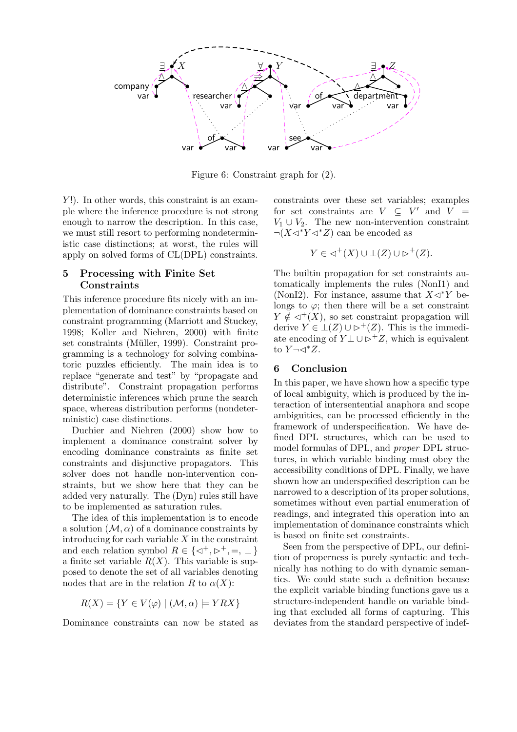

Figure 6: Constraint graph for (2).

 $Y!$ ). In other words, this constraint is an example where the inference procedure is not strong enough to narrow the description. In this case, we must still resort to performing nondeterministic case distinctions; at worst, the rules will apply on solved forms of CL(DPL) constraints.

#### 5 Processing with Finite Set **Constraints**

This inference procedure fits nicely with an implementation of dominance constraints based on constraint programming (Marriott and Stuckey, 1998; Koller and Niehren, 2000) with finite set constraints (Müller, 1999). Constraint programming is a technology for solving combinatoric puzzles efficiently. The main idea is to replace "generate and test" by "propagate and distribute". Constraint propagation performs deterministic inferences which prune the search space, whereas distribution performs (nondeterministic) case distinctions.

Duchier and Niehren (2000) show how to implement a dominance constraint solver by encoding dominance constraints as finite set constraints and disjunctive propagators. This solver does not handle non-intervention constraints, but we show here that they can be added very naturally. The (Dyn) rules still have to be implemented as saturation rules.

The idea of this implementation is to encode a solution  $(M, \alpha)$  of a dominance constraints by introducing for each variable  $X$  in the constraint and each relation symbol  $R \in \{ \triangleleft^+, \triangleright^+, =, \perp \}$ a finite set variable  $R(X)$ . This variable is supposed to denote the set of all variables denoting nodes that are in the relation R to  $\alpha(X)$ :

$$
R(X) = \{ Y \in V(\varphi) \mid (\mathcal{M}, \alpha) \models YRX \}
$$

Dominance constraints can now be stated as

constraints over these set variables; examples for set constraints are  $V \subseteq V'$  and  $V =$  $V_1 \cup V_2$ . The new non-intervention constraint  $\neg(X\triangleleft^*Y\triangleleft^*Z)$  can be encoded as

$$
Y \in \lhd^+(X) \cup \perp(Z) \cup \rhd^+(Z).
$$

The builtin propagation for set constraints automatically implements the rules (NonI1) and (NonI2). For instance, assume that  $X\triangleleft$ <sup>\*</sup>Y belongs to  $\varphi$ ; then there will be a set constraint  $Y \notin \lhd^+(X)$ , so set constraint propagation will derive  $Y \in \perp (Z) \cup \rhd^+(Z)$ . This is the immediate encoding of  $Y \perp \cup \rightarrow^+ Z$ , which is equivalent to  $Y \neg \lhd^* Z$ .

#### 6 Conclusion

In this paper, we have shown how a specific type of local ambiguity, which is produced by the interaction of intersentential anaphora and scope ambiguities, can be processed efficiently in the framework of underspecification. We have defined DPL structures, which can be used to model formulas of DPL, and proper DPL structures, in which variable binding must obey the accessibility conditions of DPL. Finally, we have shown how an underspecified description can be narrowed to a description of its proper solutions, sometimes without even partial enumeration of readings, and integrated this operation into an implementation of dominance constraints which is based on finite set constraints.

Seen from the perspective of DPL, our definition of properness is purely syntactic and technically has nothing to do with dynamic semantics. We could state such a definition because the explicit variable binding functions gave us a structure-independent handle on variable binding that excluded all forms of capturing. This deviates from the standard perspective of indef